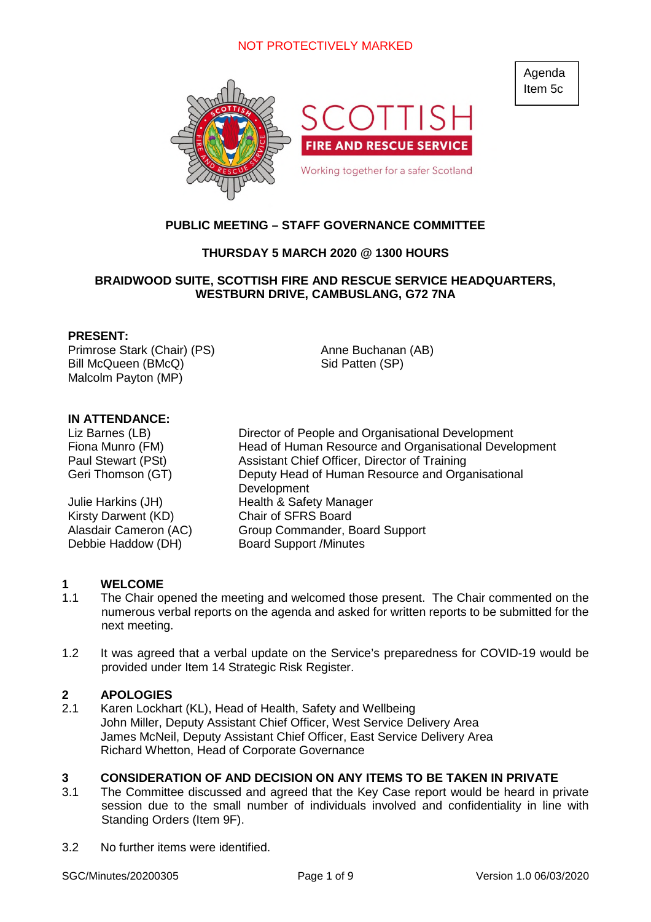

# **PUBLIC MEETING – STAFF GOVERNANCE COMMITTEE**

#### **THURSDAY 5 MARCH 2020 @ 1300 HOURS**

#### **BRAIDWOOD SUITE, SCOTTISH FIRE AND RESCUE SERVICE HEADQUARTERS, WESTBURN DRIVE, CAMBUSLANG, G72 7NA**

#### **PRESENT:**

Primrose Stark (Chair) (PS) Bill McQueen (BMcQ) Malcolm Payton (MP)

Anne Buchanan (AB) Sid Patten (SP)

#### **IN ATTENDANCE:**

Kirsty Darwent (KD) Chair of SFRS Board Debbie Haddow (DH) Board Support /Minutes

Liz Barnes (LB) Director of People and Organisational Development Fiona Munro (FM) Head of Human Resource and Organisational Development Paul Stewart (PSt) Assistant Chief Officer, Director of Training Geri Thomson (GT) Deputy Head of Human Resource and Organisational Development Julie Harkins (JH) Health & Safety Manager Alasdair Cameron (AC) Group Commander, Board Support

#### **1 WELCOME**

- 1.1 The Chair opened the meeting and welcomed those present. The Chair commented on the numerous verbal reports on the agenda and asked for written reports to be submitted for the next meeting.
- 1.2 It was agreed that a verbal update on the Service's preparedness for COVID-19 would be provided under Item 14 Strategic Risk Register.

#### **2 APOLOGIES**

2.1 Karen Lockhart (KL), Head of Health, Safety and Wellbeing John Miller, Deputy Assistant Chief Officer, West Service Delivery Area James McNeil, Deputy Assistant Chief Officer, East Service Delivery Area Richard Whetton, Head of Corporate Governance

#### **3 CONSIDERATION OF AND DECISION ON ANY ITEMS TO BE TAKEN IN PRIVATE**

- 3.1 The Committee discussed and agreed that the Key Case report would be heard in private session due to the small number of individuals involved and confidentiality in line with Standing Orders (Item 9F).
- 3.2 No further items were identified.

Agenda Item 5c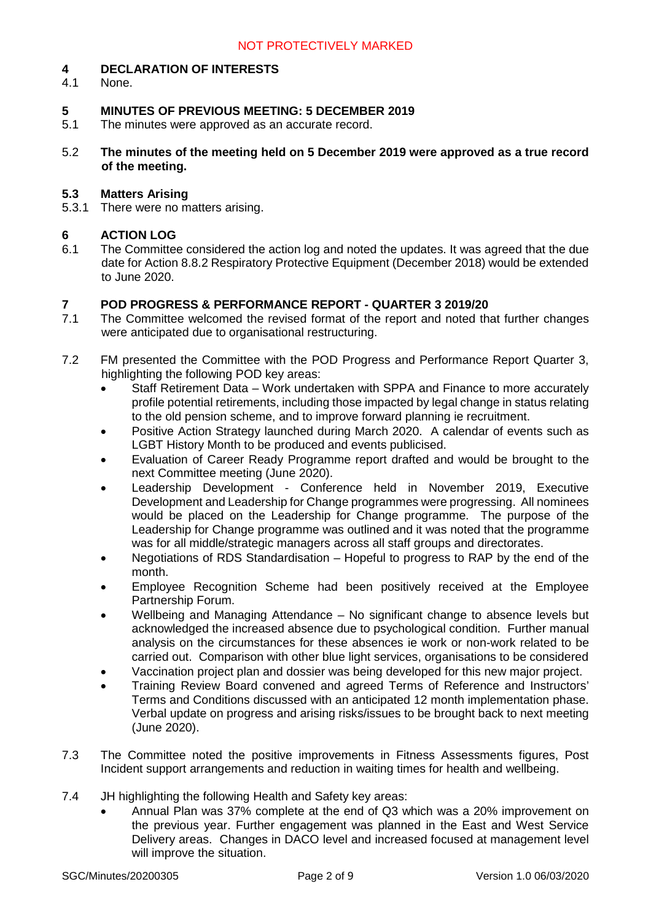#### **4 DECLARATION OF INTERESTS**

4.1 None.

#### **5 MINUTES OF PREVIOUS MEETING: 5 DECEMBER 2019**

- 5.1 The minutes were approved as an accurate record.
- 5.2 **The minutes of the meeting held on 5 December 2019 were approved as a true record of the meeting.**

#### **5.3 Matters Arising**

5.3.1 There were no matters arising.

#### **6 ACTION LOG**

6.1 The Committee considered the action log and noted the updates. It was agreed that the due date for Action 8.8.2 Respiratory Protective Equipment (December 2018) would be extended to June 2020.

#### **7 POD PROGRESS & PERFORMANCE REPORT - QUARTER 3 2019/20**

- 7.1 The Committee welcomed the revised format of the report and noted that further changes were anticipated due to organisational restructuring.
- 7.2 FM presented the Committee with the POD Progress and Performance Report Quarter 3, highlighting the following POD key areas:
	- Staff Retirement Data Work undertaken with SPPA and Finance to more accurately profile potential retirements, including those impacted by legal change in status relating to the old pension scheme, and to improve forward planning ie recruitment.
	- Positive Action Strategy launched during March 2020. A calendar of events such as LGBT History Month to be produced and events publicised.
	- Evaluation of Career Ready Programme report drafted and would be brought to the next Committee meeting (June 2020).
	- Leadership Development Conference held in November 2019, Executive Development and Leadership for Change programmes were progressing. All nominees would be placed on the Leadership for Change programme. The purpose of the Leadership for Change programme was outlined and it was noted that the programme was for all middle/strategic managers across all staff groups and directorates.
	- Negotiations of RDS Standardisation Hopeful to progress to RAP by the end of the month.
	- Employee Recognition Scheme had been positively received at the Employee Partnership Forum.
	- Wellbeing and Managing Attendance No significant change to absence levels but acknowledged the increased absence due to psychological condition. Further manual analysis on the circumstances for these absences ie work or non-work related to be carried out. Comparison with other blue light services, organisations to be considered
	- Vaccination project plan and dossier was being developed for this new major project.
	- Training Review Board convened and agreed Terms of Reference and Instructors' Terms and Conditions discussed with an anticipated 12 month implementation phase. Verbal update on progress and arising risks/issues to be brought back to next meeting (June 2020).
- 7.3 The Committee noted the positive improvements in Fitness Assessments figures, Post Incident support arrangements and reduction in waiting times for health and wellbeing.
- 7.4 JH highlighting the following Health and Safety key areas:
	- Annual Plan was 37% complete at the end of Q3 which was a 20% improvement on the previous year. Further engagement was planned in the East and West Service Delivery areas. Changes in DACO level and increased focused at management level will improve the situation.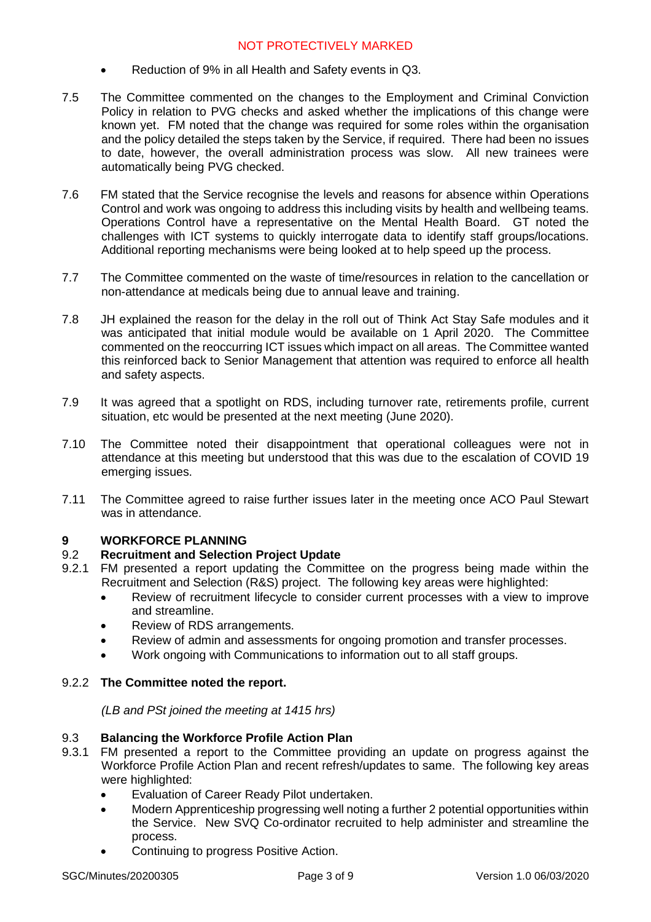- Reduction of 9% in all Health and Safety events in Q3.
- 7.5 The Committee commented on the changes to the Employment and Criminal Conviction Policy in relation to PVG checks and asked whether the implications of this change were known yet. FM noted that the change was required for some roles within the organisation and the policy detailed the steps taken by the Service, if required. There had been no issues to date, however, the overall administration process was slow. All new trainees were automatically being PVG checked.
- 7.6 FM stated that the Service recognise the levels and reasons for absence within Operations Control and work was ongoing to address this including visits by health and wellbeing teams. Operations Control have a representative on the Mental Health Board. GT noted the challenges with ICT systems to quickly interrogate data to identify staff groups/locations. Additional reporting mechanisms were being looked at to help speed up the process.
- 7.7 The Committee commented on the waste of time/resources in relation to the cancellation or non-attendance at medicals being due to annual leave and training.
- 7.8 JH explained the reason for the delay in the roll out of Think Act Stay Safe modules and it was anticipated that initial module would be available on 1 April 2020. The Committee commented on the reoccurring ICT issues which impact on all areas. The Committee wanted this reinforced back to Senior Management that attention was required to enforce all health and safety aspects.
- 7.9 It was agreed that a spotlight on RDS, including turnover rate, retirements profile, current situation, etc would be presented at the next meeting (June 2020).
- 7.10 The Committee noted their disappointment that operational colleagues were not in attendance at this meeting but understood that this was due to the escalation of COVID 19 emerging issues.
- 7.11 The Committee agreed to raise further issues later in the meeting once ACO Paul Stewart was in attendance

#### **9 WORKFORCE PLANNING**

#### 9.2 **Recruitment and Selection Project Update**

- 9.2.1 FM presented a report updating the Committee on the progress being made within the Recruitment and Selection (R&S) project. The following key areas were highlighted:
	- Review of recruitment lifecycle to consider current processes with a view to improve and streamline.
	- Review of RDS arrangements.
	- Review of admin and assessments for ongoing promotion and transfer processes.
	- Work ongoing with Communications to information out to all staff groups.

#### 9.2.2 **The Committee noted the report.**

*(LB and PSt joined the meeting at 1415 hrs)*

#### 9.3 **Balancing the Workforce Profile Action Plan**

- 9.3.1 FM presented a report to the Committee providing an update on progress against the Workforce Profile Action Plan and recent refresh/updates to same. The following key areas were highlighted:
	- Evaluation of Career Ready Pilot undertaken.
	- Modern Apprenticeship progressing well noting a further 2 potential opportunities within the Service. New SVQ Co-ordinator recruited to help administer and streamline the process.
	- Continuing to progress Positive Action.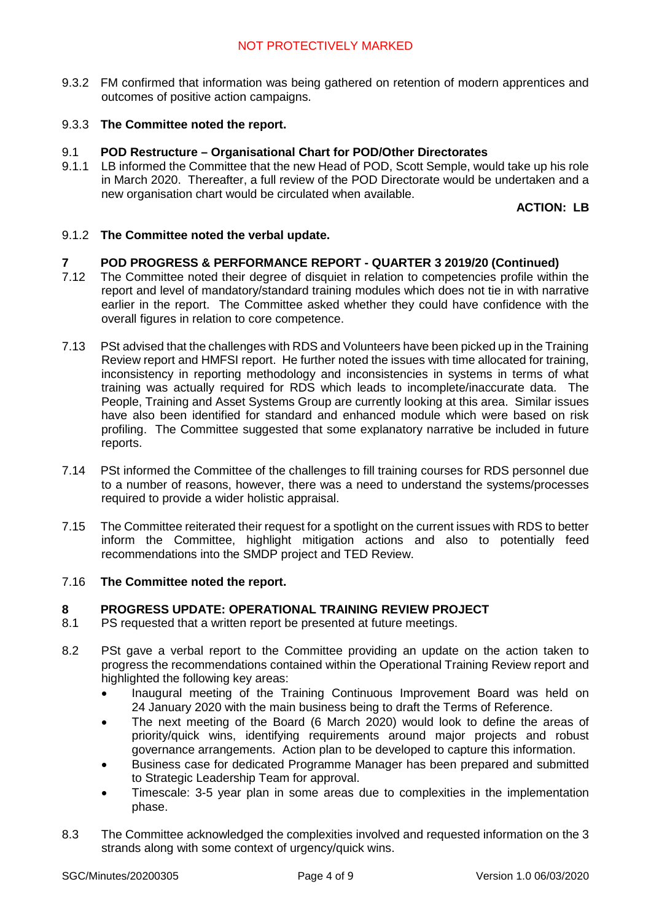9.3.2 FM confirmed that information was being gathered on retention of modern apprentices and outcomes of positive action campaigns.

#### 9.3.3 **The Committee noted the report.**

# 9.1 **POD Restructure – Organisational Chart for POD/Other Directorates**<br>9.1.1 LB informed the Committee that the new Head of POD. Scott Semple. wor

LB informed the Committee that the new Head of POD, Scott Semple, would take up his role in March 2020. Thereafter, a full review of the POD Directorate would be undertaken and a new organisation chart would be circulated when available.

**ACTION: LB**

#### 9.1.2 **The Committee noted the verbal update.**

#### **7 POD PROGRESS & PERFORMANCE REPORT - QUARTER 3 2019/20 (Continued)**

- 7.12 The Committee noted their degree of disquiet in relation to competencies profile within the report and level of mandatory/standard training modules which does not tie in with narrative earlier in the report. The Committee asked whether they could have confidence with the overall figures in relation to core competence.
- 7.13 PSt advised that the challenges with RDS and Volunteers have been picked up in the Training Review report and HMFSI report. He further noted the issues with time allocated for training, inconsistency in reporting methodology and inconsistencies in systems in terms of what training was actually required for RDS which leads to incomplete/inaccurate data. The People, Training and Asset Systems Group are currently looking at this area. Similar issues have also been identified for standard and enhanced module which were based on risk profiling. The Committee suggested that some explanatory narrative be included in future reports.
- 7.14 PSt informed the Committee of the challenges to fill training courses for RDS personnel due to a number of reasons, however, there was a need to understand the systems/processes required to provide a wider holistic appraisal.
- 7.15 The Committee reiterated their request for a spotlight on the current issues with RDS to better inform the Committee, highlight mitigation actions and also to potentially feed recommendations into the SMDP project and TED Review.

#### 7.16 **The Committee noted the report.**

#### **8 PROGRESS UPDATE: OPERATIONAL TRAINING REVIEW PROJECT**

- 8.1 PS requested that a written report be presented at future meetings.
- 8.2 PSt gave a verbal report to the Committee providing an update on the action taken to progress the recommendations contained within the Operational Training Review report and highlighted the following key areas:
	- Inaugural meeting of the Training Continuous Improvement Board was held on 24 January 2020 with the main business being to draft the Terms of Reference.
	- The next meeting of the Board (6 March 2020) would look to define the areas of priority/quick wins, identifying requirements around major projects and robust governance arrangements. Action plan to be developed to capture this information.
	- Business case for dedicated Programme Manager has been prepared and submitted to Strategic Leadership Team for approval.
	- Timescale: 3-5 year plan in some areas due to complexities in the implementation phase.
- 8.3 The Committee acknowledged the complexities involved and requested information on the 3 strands along with some context of urgency/quick wins.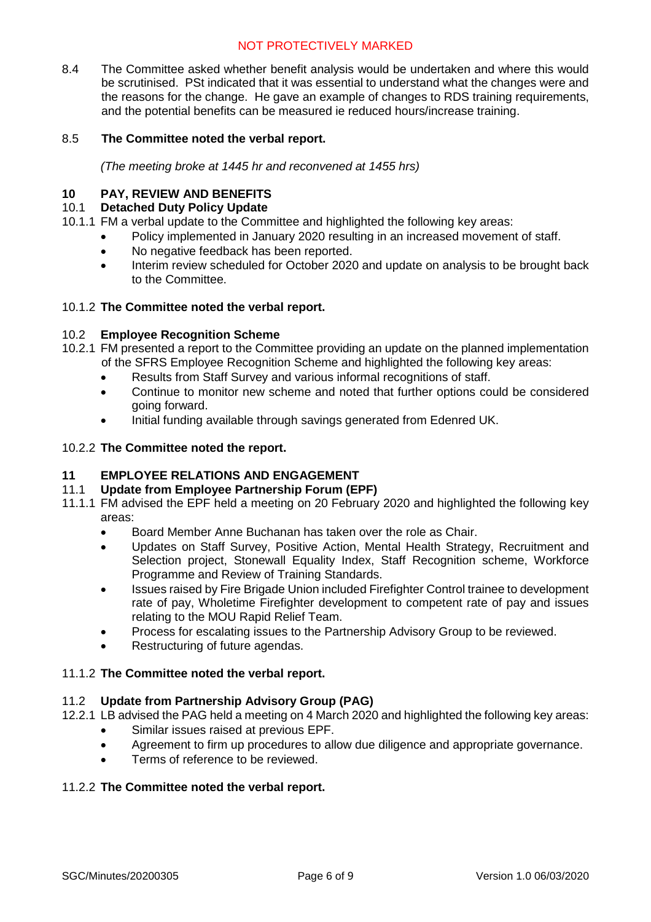8.4 The Committee asked whether benefit analysis would be undertaken and where this would be scrutinised. PSt indicated that it was essential to understand what the changes were and the reasons for the change. He gave an example of changes to RDS training requirements, and the potential benefits can be measured ie reduced hours/increase training.

#### 8.5 **The Committee noted the verbal report.**

*(The meeting broke at 1445 hr and reconvened at 1455 hrs)*

#### **10 PAY, REVIEW AND BENEFITS**

#### 10.1 **Detached Duty Policy Update**

- 10.1.1 FM a verbal update to the Committee and highlighted the following key areas:
	- Policy implemented in January 2020 resulting in an increased movement of staff.
	- No negative feedback has been reported.
	- Interim review scheduled for October 2020 and update on analysis to be brought back to the Committee.

#### 10.1.2 **The Committee noted the verbal report.**

#### 10.2 **Employee Recognition Scheme**

- 10.2.1 FM presented a report to the Committee providing an update on the planned implementation of the SFRS Employee Recognition Scheme and highlighted the following key areas:
	- Results from Staff Survey and various informal recognitions of staff.
	- Continue to monitor new scheme and noted that further options could be considered going forward.
	- Initial funding available through savings generated from Edenred UK.

#### 10.2.2 **The Committee noted the report.**

#### **11 EMPLOYEE RELATIONS AND ENGAGEMENT**

#### 11.1 **Update from Employee Partnership Forum (EPF)**

- 11.1.1 FM advised the EPF held a meeting on 20 February 2020 and highlighted the following key areas:
	- Board Member Anne Buchanan has taken over the role as Chair.
	- Updates on Staff Survey, Positive Action, Mental Health Strategy, Recruitment and Selection project, Stonewall Equality Index, Staff Recognition scheme, Workforce Programme and Review of Training Standards.
	- Issues raised by Fire Brigade Union included Firefighter Control trainee to development rate of pay, Wholetime Firefighter development to competent rate of pay and issues relating to the MOU Rapid Relief Team.
	- Process for escalating issues to the Partnership Advisory Group to be reviewed.
	- Restructuring of future agendas.

#### 11.1.2 **The Committee noted the verbal report.**

#### 11.2 **Update from Partnership Advisory Group (PAG)**

- 12.2.1 LB advised the PAG held a meeting on 4 March 2020 and highlighted the following key areas:
	- Similar issues raised at previous EPF.
	- Agreement to firm up procedures to allow due diligence and appropriate governance.
	- Terms of reference to be reviewed.

#### 11.2.2 **The Committee noted the verbal report.**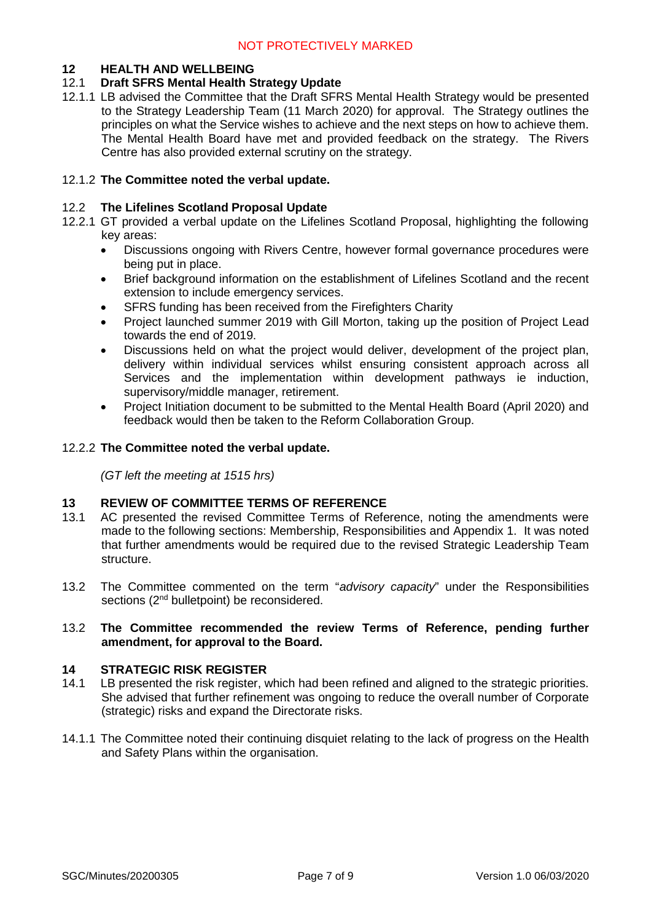#### **12 HEALTH AND WELLBEING**

#### 12.1 **Draft SFRS Mental Health Strategy Update**

12.1.1 LB advised the Committee that the Draft SFRS Mental Health Strategy would be presented to the Strategy Leadership Team (11 March 2020) for approval. The Strategy outlines the principles on what the Service wishes to achieve and the next steps on how to achieve them. The Mental Health Board have met and provided feedback on the strategy. The Rivers Centre has also provided external scrutiny on the strategy.

#### 12.1.2 **The Committee noted the verbal update.**

#### 12.2 **The Lifelines Scotland Proposal Update**

- 12.2.1 GT provided a verbal update on the Lifelines Scotland Proposal, highlighting the following key areas:
	- Discussions ongoing with Rivers Centre, however formal governance procedures were being put in place.
	- Brief background information on the establishment of Lifelines Scotland and the recent extension to include emergency services.
	- SFRS funding has been received from the Firefighters Charity
	- Project launched summer 2019 with Gill Morton, taking up the position of Project Lead towards the end of 2019.
	- Discussions held on what the project would deliver, development of the project plan, delivery within individual services whilst ensuring consistent approach across all Services and the implementation within development pathways ie induction, supervisory/middle manager, retirement.
	- Project Initiation document to be submitted to the Mental Health Board (April 2020) and feedback would then be taken to the Reform Collaboration Group.

#### 12.2.2 **The Committee noted the verbal update.**

*(GT left the meeting at 1515 hrs)*

#### **13 REVIEW OF COMMITTEE TERMS OF REFERENCE**

- 13.1 AC presented the revised Committee Terms of Reference, noting the amendments were made to the following sections: Membership, Responsibilities and Appendix 1. It was noted that further amendments would be required due to the revised Strategic Leadership Team structure.
- 13.2 The Committee commented on the term "*advisory capacity*" under the Responsibilities sections (2<sup>nd</sup> bulletpoint) be reconsidered.

#### 13.2 **The Committee recommended the review Terms of Reference, pending further amendment, for approval to the Board.**

#### **14 STRATEGIC RISK REGISTER**

- 14.1 LB presented the risk register, which had been refined and aligned to the strategic priorities. She advised that further refinement was ongoing to reduce the overall number of Corporate (strategic) risks and expand the Directorate risks.
- 14.1.1 The Committee noted their continuing disquiet relating to the lack of progress on the Health and Safety Plans within the organisation.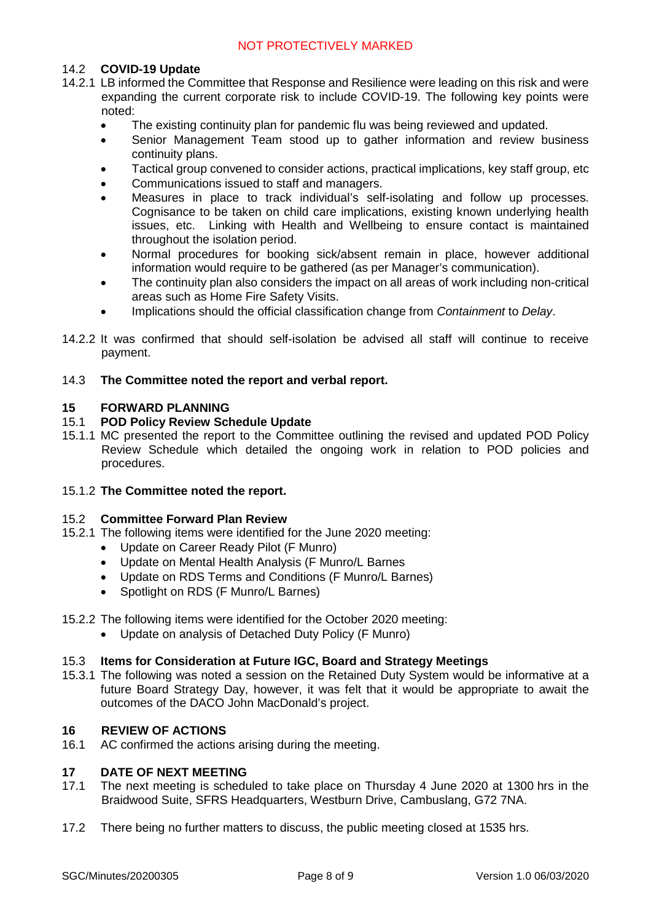#### 14.2 **COVID-19 Update**

- 14.2.1 LB informed the Committee that Response and Resilience were leading on this risk and were expanding the current corporate risk to include COVID-19. The following key points were noted:
	- The existing continuity plan for pandemic flu was being reviewed and updated.
	- Senior Management Team stood up to gather information and review business continuity plans.
	- Tactical group convened to consider actions, practical implications, key staff group, etc
	- Communications issued to staff and managers.
	- Measures in place to track individual's self-isolating and follow up processes. Cognisance to be taken on child care implications, existing known underlying health issues, etc. Linking with Health and Wellbeing to ensure contact is maintained throughout the isolation period.
	- Normal procedures for booking sick/absent remain in place, however additional information would require to be gathered (as per Manager's communication).
	- The continuity plan also considers the impact on all areas of work including non-critical areas such as Home Fire Safety Visits.
	- Implications should the official classification change from *Containment* to *Delay*.
- 14.2.2 It was confirmed that should self-isolation be advised all staff will continue to receive payment.

#### 14.3 **The Committee noted the report and verbal report.**

#### **15 FORWARD PLANNING**

#### 15.1 **POD Policy Review Schedule Update**

15.1.1 MC presented the report to the Committee outlining the revised and updated POD Policy Review Schedule which detailed the ongoing work in relation to POD policies and procedures.

#### 15.1.2 **The Committee noted the report.**

#### 15.2 **Committee Forward Plan Review**

- 15.2.1 The following items were identified for the June 2020 meeting:
	- Update on Career Ready Pilot (F Munro)
	- Update on Mental Health Analysis (F Munro/L Barnes
	- Update on RDS Terms and Conditions (F Munro/L Barnes)
	- Spotlight on RDS (F Munro/L Barnes)
- 15.2.2 The following items were identified for the October 2020 meeting:
	- Update on analysis of Detached Duty Policy (F Munro)

#### 15.3 **Items for Consideration at Future IGC, Board and Strategy Meetings**

15.3.1 The following was noted a session on the Retained Duty System would be informative at a future Board Strategy Day, however, it was felt that it would be appropriate to await the outcomes of the DACO John MacDonald's project.

#### **16 REVIEW OF ACTIONS**

16.1 AC confirmed the actions arising during the meeting.

#### **17 DATE OF NEXT MEETING**

- 17.1 The next meeting is scheduled to take place on Thursday 4 June 2020 at 1300 hrs in the Braidwood Suite, SFRS Headquarters, Westburn Drive, Cambuslang, G72 7NA.
- 17.2 There being no further matters to discuss, the public meeting closed at 1535 hrs.